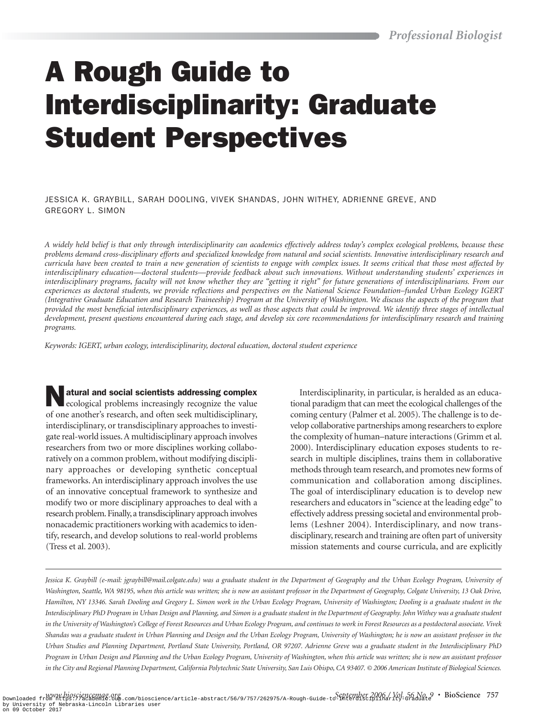# A Rough Guide to Interdisciplinarity: Graduate Student Perspectives

## JESSICA K. GRAYBILL, SARAH DOOLING, VIVEK SHANDAS, JOHN WITHEY, ADRIENNE GREVE, AND GREGORY L. SIMON

*A widely held belief is that only through interdisciplinarity can academics effectively address today's complex ecological problems, because these problems demand cross-disciplinary efforts and specialized knowledge from natural and social scientists. Innovative interdisciplinary research and curricula have been created to train a new generation of scientists to engage with complex issues. It seems critical that those most affected by interdisciplinary education—doctoral students—provide feedback about such innovations. Without understanding students' experiences in interdisciplinary programs, faculty will not know whether they are "getting it right" for future generations of interdisciplinarians. From our experiences as doctoral students, we provide reflections and perspectives on the National Science Foundation–funded Urban Ecology IGERT (Integrative Graduate Education and Research Traineeship) Program at the University of Washington. We discuss the aspects of the program that provided the most beneficial interdisciplinary experiences, as well as those aspects that could be improved. We identify three stages of intellectual development, present questions encountered during each stage, and develop six core recommendations for interdisciplinary research and training programs.*

*Keywords: IGERT, urban ecology, interdisciplinarity, doctoral education, doctoral student experience*

atural and social scientists addressing complex ecological problems increasingly recognize the value of one another's research, and often seek multidisciplinary, interdisciplinary, or transdisciplinary approaches to investigate real-world issues. A multidisciplinary approach involves researchers from two or more disciplines working collaboratively on a common problem, without modifying disciplinary approaches or developing synthetic conceptual frameworks. An interdisciplinary approach involves the use of an innovative conceptual framework to synthesize and modify two or more disciplinary approaches to deal with a research problem. Finally, a transdisciplinary approach involves nonacademic practitioners working with academics to identify, research, and develop solutions to real-world problems (Tress et al. 2003).

Interdisciplinarity, in particular, is heralded as an educational paradigm that can meet the ecological challenges of the coming century (Palmer et al. 2005). The challenge is to develop collaborative partnerships among researchers to explore the complexity of human–nature interactions (Grimm et al. 2000). Interdisciplinary education exposes students to research in multiple disciplines, trains them in collaborative methods through team research, and promotes new forms of communication and collaboration among disciplines. The goal of interdisciplinary education is to develop new researchers and educators in "science at the leading edge" to effectively address pressing societal and environmental problems (Leshner 2004). Interdisciplinary, and now transdisciplinary, research and training are often part of university mission statements and course curricula, and are explicitly

*Jessica K. Graybill (e-mail: jgraybill@mail.colgate.edu) was a graduate student in the Department of Geography and the Urban Ecology Program, University of Washington, Seattle, WA 98195, when this article was written; she is now an assistant professor in the Department of Geography, Colgate University, 13 Oak Drive, Hamilton, NY 13346. Sarah Dooling and Gregory L. Simon work in the Urban Ecology Program, University of Washington; Dooling is a graduate student in the Interdisciplinary PhD Program in Urban Design and Planning, and Simon is a graduate student in the Department of Geography. John Withey was a graduate student in the University of Washington's College of Forest Resources and Urban Ecology Program, and continues to work in Forest Resources as a postdoctoral associate. Vivek Shandas was a graduate student in Urban Planning and Design and the Urban Ecology Program, University of Washington; he is now an assistant professor in the Urban Studies and Planning Department, Portland State University, Portland, OR 97207. Adrienne Greve was a graduate student in the Interdisciplinary PhD Program in Urban Design and Planning and the Urban Ecology Program, University of Washington, when this article was written; she is now an assistant professor in the City and Regional Planning Department, California Polytechnic State University, San Luis Obispo, CA 93407. © 2006 American Institute of Biological Sciences.*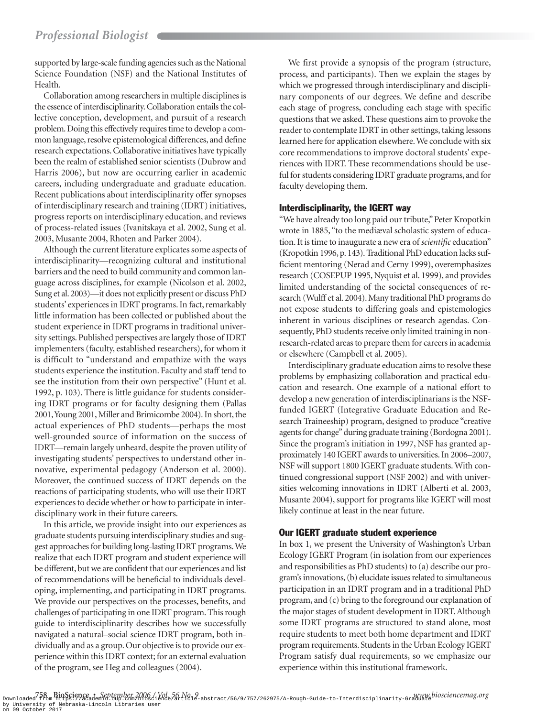supported by large-scale funding agencies such as the National Science Foundation (NSF) and the National Institutes of Health.

Collaboration among researchers in multiple disciplines is the essence of interdisciplinarity. Collaboration entails the collective conception, development, and pursuit of a research problem. Doing this effectively requires time to develop a common language, resolve epistemological differences, and define research expectations. Collaborative initiatives have typically been the realm of established senior scientists (Dubrow and Harris 2006), but now are occurring earlier in academic careers, including undergraduate and graduate education. Recent publications about interdisciplinarity offer synopses of interdisciplinary research and training (IDRT) initiatives, progress reports on interdisciplinary education, and reviews of process-related issues (Ivanitskaya et al. 2002, Sung et al. 2003, Musante 2004, Rhoten and Parker 2004).

Although the current literature explicates some aspects of interdisciplinarity—recognizing cultural and institutional barriers and the need to build community and common language across disciplines, for example (Nicolson et al. 2002, Sung et al. 2003)—it does not explicitly present or discuss PhD students' experiences in IDRT programs. In fact, remarkably little information has been collected or published about the student experience in IDRT programs in traditional university settings. Published perspectives are largely those of IDRT implementers (faculty, established researchers), for whom it is difficult to "understand and empathize with the ways students experience the institution. Faculty and staff tend to see the institution from their own perspective" (Hunt et al. 1992, p. 103). There is little guidance for students considering IDRT programs or for faculty designing them (Pallas 2001,Young 2001, Miller and Brimicombe 2004). In short, the actual experiences of PhD students—perhaps the most well-grounded source of information on the success of IDRT—remain largely unheard, despite the proven utility of investigating students' perspectives to understand other innovative, experimental pedagogy (Anderson et al. 2000). Moreover, the continued success of IDRT depends on the reactions of participating students, who will use their IDRT experiences to decide whether or how to participate in interdisciplinary work in their future careers.

In this article, we provide insight into our experiences as graduate students pursuing interdisciplinary studies and suggest approaches for building long-lasting IDRT programs.We realize that each IDRT program and student experience will be different, but we are confident that our experiences and list of recommendations will be beneficial to individuals developing, implementing, and participating in IDRT programs. We provide our perspectives on the processes, benefits, and challenges of participating in one IDRT program. This rough guide to interdisciplinarity describes how we successfully navigated a natural–social science IDRT program, both individually and as a group. Our objective is to provide our experience within this IDRT context; for an external evaluation of the program, see Heg and colleagues (2004).

We first provide a synopsis of the program (structure, process, and participants). Then we explain the stages by which we progressed through interdisciplinary and disciplinary components of our degrees. We define and describe each stage of progress, concluding each stage with specific questions that we asked. These questions aim to provoke the reader to contemplate IDRT in other settings, taking lessons learned here for application elsewhere. We conclude with six core recommendations to improve doctoral students' experiences with IDRT. These recommendations should be useful for students considering IDRT graduate programs, and for faculty developing them.

# Interdisciplinarity, the IGERT way

"We have already too long paid our tribute," Peter Kropotkin wrote in 1885, "to the mediæval scholastic system of education. It is time to inaugurate a new era of *scientific* education" (Kropotkin 1996, p. 143). Traditional PhD education lacks sufficient mentoring (Nerad and Cerny 1999), overemphasizes research (COSEPUP 1995, Nyquist et al. 1999), and provides limited understanding of the societal consequences of research (Wulff et al. 2004). Many traditional PhD programs do not expose students to differing goals and epistemologies inherent in various disciplines or research agendas. Consequently, PhD students receive only limited training in nonresearch-related areas to prepare them for careers in academia or elsewhere (Campbell et al. 2005).

Interdisciplinary graduate education aims to resolve these problems by emphasizing collaboration and practical education and research. One example of a national effort to develop a new generation of interdisciplinarians is the NSFfunded IGERT (Integrative Graduate Education and Research Traineeship) program, designed to produce "creative agents for change"during graduate training (Bordogna 2001). Since the program's initiation in 1997, NSF has granted approximately 140 IGERT awards to universities. In 2006–2007, NSF will support 1800 IGERT graduate students. With continued congressional support (NSF 2002) and with universities welcoming innovations in IDRT (Alberti et al. 2003, Musante 2004), support for programs like IGERT will most likely continue at least in the near future.

# Our IGERT graduate student experience

In box 1, we present the University of Washington's Urban Ecology IGERT Program (in isolation from our experiences and responsibilities as PhD students) to (a) describe our program's innovations, (b) elucidate issues related to simultaneous participation in an IDRT program and in a traditional PhD program, and (c) bring to the foreground our explanation of the major stages of student development in IDRT. Although some IDRT programs are structured to stand alone, most require students to meet both home department and IDRT program requirements. Students in the Urban Ecology IGERT Program satisfy dual requirements, so we emphasize our experience within this institutional framework.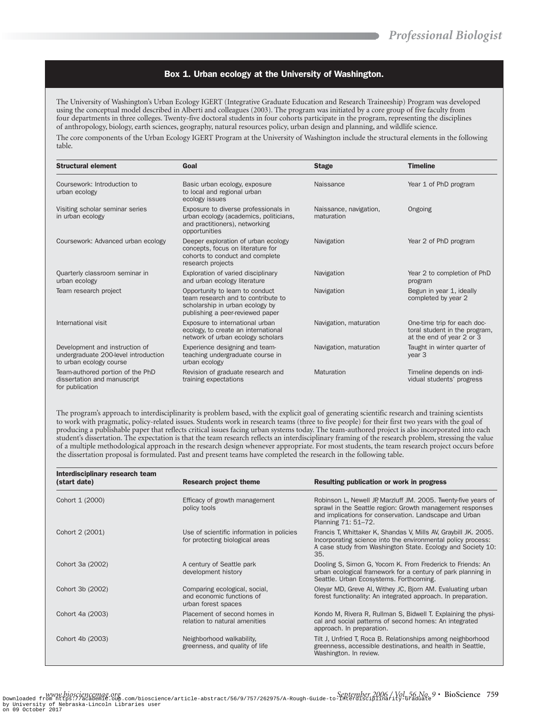## Box 1. Urban ecology at the University of Washington.

The University of Washington's Urban Ecology IGERT (Integrative Graduate Education and Research Traineeship) Program was developed using the conceptual model described in Alberti and colleagues (2003). The program was initiated by a core group of five faculty from four departments in three colleges. Twenty-five doctoral students in four cohorts participate in the program, representing the disciplines of anthropology, biology, earth sciences, geography, natural resources policy, urban design and planning, and wildlife science.

The core components of the Urban Ecology IGERT Program at the University of Washington include the structural elements in the following table.

| <b>Structural element</b>                                                                         | Goal                                                                                                                                         | <b>Stage</b>                         | <b>Timeline</b>                                                                           |
|---------------------------------------------------------------------------------------------------|----------------------------------------------------------------------------------------------------------------------------------------------|--------------------------------------|-------------------------------------------------------------------------------------------|
| Coursework: Introduction to<br>urban ecology                                                      | Basic urban ecology, exposure<br>to local and regional urban<br>ecology issues                                                               | Naissance                            | Year 1 of PhD program                                                                     |
| Visiting scholar seminar series<br>in urban ecology                                               | Exposure to diverse professionals in<br>urban ecology (academics, politicians,<br>and practitioners), networking<br>opportunities            | Naissance, navigation,<br>maturation | Ongoing                                                                                   |
| Coursework: Advanced urban ecology                                                                | Deeper exploration of urban ecology<br>concepts, focus on literature for<br>cohorts to conduct and complete<br>research projects             | Navigation                           | Year 2 of PhD program                                                                     |
| Quarterly classroom seminar in<br>urban ecology                                                   | Exploration of varied disciplinary<br>and urban ecology literature                                                                           | Navigation                           | Year 2 to completion of PhD<br>program                                                    |
| Team research project                                                                             | Opportunity to learn to conduct<br>team research and to contribute to<br>scholarship in urban ecology by<br>publishing a peer-reviewed paper | Navigation                           | Begun in year 1, ideally<br>completed by year 2                                           |
| International visit                                                                               | Exposure to international urban<br>ecology, to create an international<br>network of urban ecology scholars                                  | Navigation, maturation               | One-time trip for each doc-<br>toral student in the program,<br>at the end of year 2 or 3 |
| Development and instruction of<br>undergraduate 200-level introduction<br>to urban ecology course | Experience designing and team-<br>teaching undergraduate course in<br>urban ecology                                                          | Navigation, maturation               | Taught in winter quarter of<br>year 3                                                     |
| Team-authored portion of the PhD<br>dissertation and manuscript<br>for publication                | Revision of graduate research and<br>training expectations                                                                                   | Maturation                           | Timeline depends on indi-<br>vidual students' progress                                    |

The program's approach to interdisciplinarity is problem based, with the explicit goal of generating scientific research and training scientists to work with pragmatic, policy-related issues. Students work in research teams (three to five people) for their first two years with the goal of producing a publishable paper that reflects critical issues facing urban systems today. The team-authored project is also incorporated into each student's dissertation. The expectation is that the team research reflects an interdisciplinary framing of the research problem, stressing the value of a multiple methodological approach in the research design whenever appropriate. For most students, the team research project occurs before the dissertation proposal is formulated. Past and present teams have completed the research in the following table.

| Interdisciplinary research team<br>(start date) | <b>Research project theme</b>                                                     | Resulting publication or work in progress                                                                                                                                                                    |
|-------------------------------------------------|-----------------------------------------------------------------------------------|--------------------------------------------------------------------------------------------------------------------------------------------------------------------------------------------------------------|
| Cohort 1 (2000)                                 | Efficacy of growth management<br>policy tools                                     | Robinson L, Newell JP, Marzluff JM. 2005. Twenty-five years of<br>sprawl in the Seattle region: Growth management responses<br>and implications for conservation. Landscape and Urban<br>Planning 71: 51-72. |
| Cohort 2 (2001)                                 | Use of scientific information in policies<br>for protecting biological areas      | Francis T, Whittaker K, Shandas V, Mills AV, Graybill JK. 2005.<br>Incorporating science into the environmental policy process:<br>A case study from Washington State. Ecology and Society 10:<br>35.        |
| Cohort 3a (2002)                                | A century of Seattle park<br>development history                                  | Dooling S, Simon G, Yocom K. From Frederick to Friends: An<br>urban ecological framework for a century of park planning in<br>Seattle. Urban Ecosystems. Forthcoming.                                        |
| Cohort 3b (2002)                                | Comparing ecological, social,<br>and economic functions of<br>urban forest spaces | Oleyar MD, Greve AI, Withey JC, Bjorn AM. Evaluating urban<br>forest functionality: An integrated approach. In preparation.                                                                                  |
| Cohort 4a (2003)                                | Placement of second homes in<br>relation to natural amenities                     | Kondo M, Rivera R, Rullman S, Bidwell T. Explaining the physi-<br>cal and social patterns of second homes: An integrated<br>approach. In preparation.                                                        |
| Cohort 4b (2003)                                | Neighborhood walkability,<br>greenness, and quality of life                       | Tilt J, Unfried T, Roca B. Relationships among neighborhood<br>greenness, accessible destinations, and health in Seattle,<br>Washington. In review.                                                          |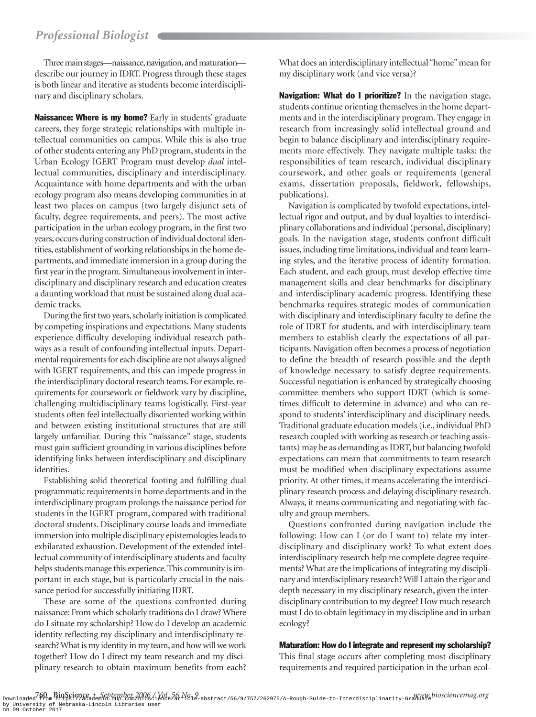Three main stages—naissance, navigation, and maturation describe our journey in IDRT. Progress through these stages is both linear and iterative as students become interdisciplinary and disciplinary scholars.

Naissance: Where is my home? Early in students' graduate careers, they forge strategic relationships with multiple intellectual communities on campus. While this is also true of other students entering any PhD program, students in the Urban Ecology IGERT Program must develop *dual* intellectual communities, disciplinary and interdisciplinary. Acquaintance with home departments and with the urban ecology program also means developing communities in at least two places on campus (two largely disjunct sets of faculty, degree requirements, and peers). The most active participation in the urban ecology program, in the first two years, occurs during construction of individual doctoral identities, establishment of working relationships in the home departments, and immediate immersion in a group during the first year in the program. Simultaneous involvement in interdisciplinary and disciplinary research and education creates a daunting workload that must be sustained along dual academic tracks.

During the first two years, scholarly initiation is complicated by competing inspirations and expectations. Many students experience difficulty developing individual research pathways as a result of confounding intellectual inputs. Departmental requirements for each discipline are not always aligned with IGERT requirements, and this can impede progress in the interdisciplinary doctoral research teams. For example, requirements for coursework or fieldwork vary by discipline, challenging multidisciplinary teams logistically. First-year students often feel intellectually disoriented working within and between existing institutional structures that are still largely unfamiliar. During this "naissance" stage, students must gain sufficient grounding in various disciplines before identifying links between interdisciplinary and disciplinary identities.

Establishing solid theoretical footing and fulfilling dual programmatic requirements in home departments and in the interdisciplinary program prolongs the naissance period for students in the IGERT program, compared with traditional doctoral students. Disciplinary course loads and immediate immersion into multiple disciplinary epistemologies leads to exhilarated exhaustion. Development of the extended intellectual community of interdisciplinary students and faculty helps students manage this experience. This community is important in each stage, but is particularly crucial in the naissance period for successfully initiating IDRT.

These are some of the questions confronted during naissance: From which scholarly traditions do I draw? Where do I situate my scholarship? How do I develop an academic identity reflecting my disciplinary and interdisciplinary research? What is my identity in my team, and how will we work together? How do I direct my team research and my disciplinary research to obtain maximum benefits from each?

What does an interdisciplinary intellectual "home" mean for my disciplinary work (and vice versa)?

Navigation: What do I prioritize? In the navigation stage, students continue orienting themselves in the home departments and in the interdisciplinary program. They engage in research from increasingly solid intellectual ground and begin to balance disciplinary and interdisciplinary requirements more effectively. They navigate multiple tasks: the responsibilities of team research, individual disciplinary coursework, and other goals or requirements (general exams, dissertation proposals, fieldwork, fellowships, publications).

Navigation is complicated by twofold expectations, intellectual rigor and output, and by dual loyalties to interdisciplinary collaborations and individual (personal, disciplinary) goals. In the navigation stage, students confront difficult issues, including time limitations, individual and team learning styles, and the iterative process of identity formation. Each student, and each group, must develop effective time management skills and clear benchmarks for disciplinary and interdisciplinary academic progress. Identifying these benchmarks requires strategic modes of communication with disciplinary and interdisciplinary faculty to define the role of IDRT for students, and with interdisciplinary team members to establish clearly the expectations of all participants. Navigation often becomes a process of negotiation to define the breadth of research possible and the depth of knowledge necessary to satisfy degree requirements. Successful negotiation is enhanced by strategically choosing committee members who support IDRT (which is sometimes difficult to determine in advance) and who can respond to students' interdisciplinary and disciplinary needs. Traditional graduate education models (i.e., individual PhD research coupled with working as research or teaching assistants) may be as demanding as IDRT, but balancing twofold expectations can mean that commitments to team research must be modified when disciplinary expectations assume priority. At other times, it means accelerating the interdisciplinary research process and delaying disciplinary research. Always, it means communicating and negotiating with faculty and group members.

Questions confronted during navigation include the following: How can I (or do I want to) relate my interdisciplinary and disciplinary work? To what extent does interdisciplinary research help me complete degree requirements? What are the implications of integrating my disciplinary and interdisciplinary research? Will I attain the rigor and depth necessary in my disciplinary research, given the interdisciplinary contribution to my degree? How much research must I do to obtain legitimacy in my discipline and in urban ecology?

Maturation: How do I integrate and represent my scholarship?

This final stage occurs after completing most disciplinary requirements and required participation in the urban ecol-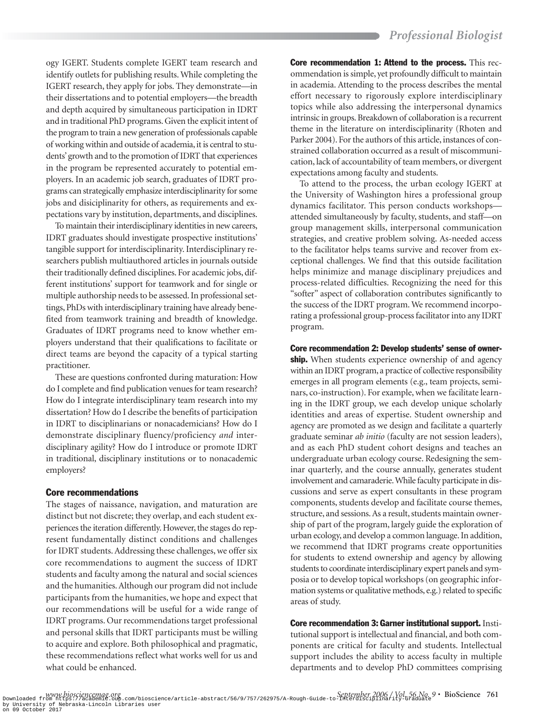*Professional Biologist*

ogy IGERT. Students complete IGERT team research and identify outlets for publishing results. While completing the IGERT research, they apply for jobs. They demonstrate—in their dissertations and to potential employers—the breadth and depth acquired by simultaneous participation in IDRT and in traditional PhD programs. Given the explicit intent of the program to train a new generation of professionals capable of working within and outside of academia, it is central to students' growth and to the promotion of IDRT that experiences in the program be represented accurately to potential employers. In an academic job search, graduates of IDRT programs can strategically emphasize interdisciplinarity for some jobs and disiciplinarity for others, as requirements and expectations vary by institution, departments, and disciplines.

To maintain their interdisciplinary identities in new careers, IDRT graduates should investigate prospective institutions' tangible support for interdisciplinarity. Interdisciplinary researchers publish multiauthored articles in journals outside their traditionally defined disciplines. For academic jobs, different institutions' support for teamwork and for single or multiple authorship needs to be assessed. In professional settings, PhDs with interdisciplinary training have already benefited from teamwork training and breadth of knowledge. Graduates of IDRT programs need to know whether employers understand that their qualifications to facilitate or direct teams are beyond the capacity of a typical starting practitioner.

These are questions confronted during maturation: How do I complete and find publication venues for team research? How do I integrate interdisciplinary team research into my dissertation? How do I describe the benefits of participation in IDRT to disciplinarians or nonacademicians? How do I demonstrate disciplinary fluency/proficiency *and* interdisciplinary agility? How do I introduce or promote IDRT in traditional, disciplinary institutions or to nonacademic employers?

# Core recommendations

The stages of naissance, navigation, and maturation are distinct but not discrete; they overlap, and each student experiences the iteration differently. However, the stages do represent fundamentally distinct conditions and challenges for IDRT students. Addressing these challenges, we offer six core recommendations to augment the success of IDRT students and faculty among the natural and social sciences and the humanities. Although our program did not include participants from the humanities, we hope and expect that our recommendations will be useful for a wide range of IDRT programs. Our recommendations target professional and personal skills that IDRT participants must be willing to acquire and explore. Both philosophical and pragmatic, these recommendations reflect what works well for us and what could be enhanced.

Core recommendation 1: Attend to the process. This recommendation is simple, yet profoundly difficult to maintain in academia. Attending to the process describes the mental effort necessary to rigorously explore interdisciplinary topics while also addressing the interpersonal dynamics intrinsic in groups. Breakdown of collaboration is a recurrent theme in the literature on interdisciplinarity (Rhoten and Parker 2004). For the authors of this article, instances of constrained collaboration occurred as a result of miscommunication, lack of accountability of team members, or divergent expectations among faculty and students.

To attend to the process, the urban ecology IGERT at the University of Washington hires a professional group dynamics facilitator. This person conducts workshops attended simultaneously by faculty, students, and staff—on group management skills, interpersonal communication strategies, and creative problem solving. As-needed access to the facilitator helps teams survive and recover from exceptional challenges. We find that this outside facilitation helps minimize and manage disciplinary prejudices and process-related difficulties. Recognizing the need for this "softer" aspect of collaboration contributes significantly to the success of the IDRT program. We recommend incorporating a professional group-process facilitator into any IDRT program.

Core recommendation 2: Develop students' sense of ownership. When students experience ownership of and agency within an IDRT program, a practice of collective responsibility emerges in all program elements (e.g., team projects, seminars, co-instruction). For example, when we facilitate learning in the IDRT group, we each develop unique scholarly identities and areas of expertise. Student ownership and agency are promoted as we design and facilitate a quarterly graduate seminar *ab initio* (faculty are not session leaders), and as each PhD student cohort designs and teaches an undergraduate urban ecology course. Redesigning the seminar quarterly, and the course annually, generates student involvement and camaraderie.While faculty participate in discussions and serve as expert consultants in these program components, students develop and facilitate course themes, structure, and sessions. As a result, students maintain ownership of part of the program, largely guide the exploration of urban ecology, and develop a common language. In addition, we recommend that IDRT programs create opportunities for students to extend ownership and agency by allowing students to coordinate interdisciplinary expert panels and symposia or to develop topical workshops (on geographic information systems or qualitative methods, e.g.) related to specific areas of study.

Core recommendation 3: Garner institutional support. Institutional support is intellectual and financial, and both components are critical for faculty and students. Intellectual support includes the ability to access faculty in multiple departments and to develop PhD committees comprising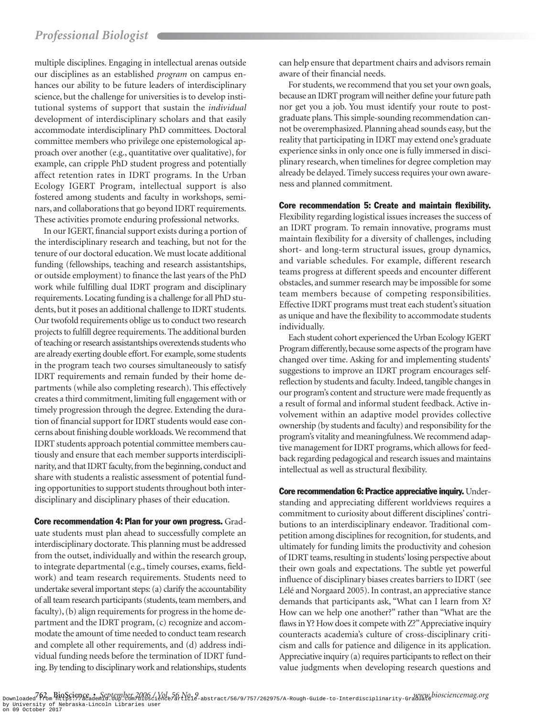# *Professional Biologist*

multiple disciplines. Engaging in intellectual arenas outside our disciplines as an established *program* on campus enhances our ability to be future leaders of interdisciplinary science, but the challenge for universities is to develop institutional systems of support that sustain the *individual* development of interdisciplinary scholars and that easily accommodate interdisciplinary PhD committees. Doctoral committee members who privilege one epistemological approach over another (e.g., quantitative over qualitative), for example, can cripple PhD student progress and potentially affect retention rates in IDRT programs. In the Urban Ecology IGERT Program, intellectual support is also fostered among students and faculty in workshops, seminars, and collaborations that go beyond IDRT requirements. These activities promote enduring professional networks.

In our IGERT, financial support exists during a portion of the interdisciplinary research and teaching, but not for the tenure of our doctoral education. We must locate additional funding (fellowships, teaching and research assistantships, or outside employment) to finance the last years of the PhD work while fulfilling dual IDRT program and disciplinary requirements. Locating funding is a challenge for all PhD students, but it poses an additional challenge to IDRT students. Our twofold requirements oblige us to conduct two research projects to fulfill degree requirements. The additional burden of teaching or research assistantships overextends students who are already exerting double effort. For example, some students in the program teach two courses simultaneously to satisfy IDRT requirements and remain funded by their home departments (while also completing research). This effectively creates a third commitment, limiting full engagement with or timely progression through the degree. Extending the duration of financial support for IDRT students would ease concerns about finishing double workloads. We recommend that IDRT students approach potential committee members cautiously and ensure that each member supports interdisciplinarity, and that IDRT faculty, from the beginning, conduct and share with students a realistic assessment of potential funding opportunities to support students throughout both interdisciplinary and disciplinary phases of their education.

Core recommendation 4: Plan for your own progress. Graduate students must plan ahead to successfully complete an interdisciplinary doctorate. This planning must be addressed from the outset, individually and within the research group, to integrate departmental (e.g., timely courses, exams, fieldwork) and team research requirements. Students need to undertake several important steps: (a) clarify the accountability of all team research participants (students, team members, and faculty), (b) align requirements for progress in the home department and the IDRT program, (c) recognize and accommodate the amount of time needed to conduct team research and complete all other requirements, and (d) address individual funding needs before the termination of IDRT funding. By tending to disciplinary work and relationships, students

can help ensure that department chairs and advisors remain aware of their financial needs.

For students, we recommend that you set your own goals, because an IDRT program will neither define your future path nor get you a job. You must identify your route to postgraduate plans. This simple-sounding recommendation cannot be overemphasized. Planning ahead sounds easy, but the reality that participating in IDRT may extend one's graduate experience sinks in only once one is fully immersed in disciplinary research, when timelines for degree completion may already be delayed. Timely success requires your own awareness and planned commitment.

### Core recommendation 5: Create and maintain flexibility.

Flexibility regarding logistical issues increases the success of an IDRT program. To remain innovative, programs must maintain flexibility for a diversity of challenges, including short- and long-term structural issues, group dynamics, and variable schedules. For example, different research teams progress at different speeds and encounter different obstacles, and summer research may be impossible for some team members because of competing responsibilities. Effective IDRT programs must treat each student's situation as unique and have the flexibility to accommodate students individually.

Each student cohort experienced the Urban Ecology IGERT Program differently, because some aspects of the program have changed over time. Asking for and implementing students' suggestions to improve an IDRT program encourages selfreflection by students and faculty. Indeed, tangible changes in our program's content and structure were made frequently as a result of formal and informal student feedback. Active involvement within an adaptive model provides collective ownership (by students and faculty) and responsibility for the program's vitality and meaningfulness.We recommend adaptive management for IDRT programs, which allows for feedback regarding pedagogical and research issues and maintains intellectual as well as structural flexibility.

Core recommendation 6: Practice appreciative inquiry. Understanding and appreciating different worldviews requires a commitment to curiosity about different disciplines' contributions to an interdisciplinary endeavor. Traditional competition among disciplines for recognition, for students, and ultimately for funding limits the productivity and cohesion of IDRT teams, resulting in students' losing perspective about their own goals and expectations. The subtle yet powerful influence of disciplinary biases creates barriers to IDRT (see Lélé and Norgaard 2005). In contrast, an appreciative stance demands that participants ask, "What can I learn from X? How can we help one another?" rather than "What are the flaws in Y? How does it compete with Z?" Appreciative inquiry counteracts academia's culture of cross-disciplinary criticism and calls for patience and diligence in its application. Appreciative inquiry (a) requires participants to reflect on their value judgments when developing research questions and